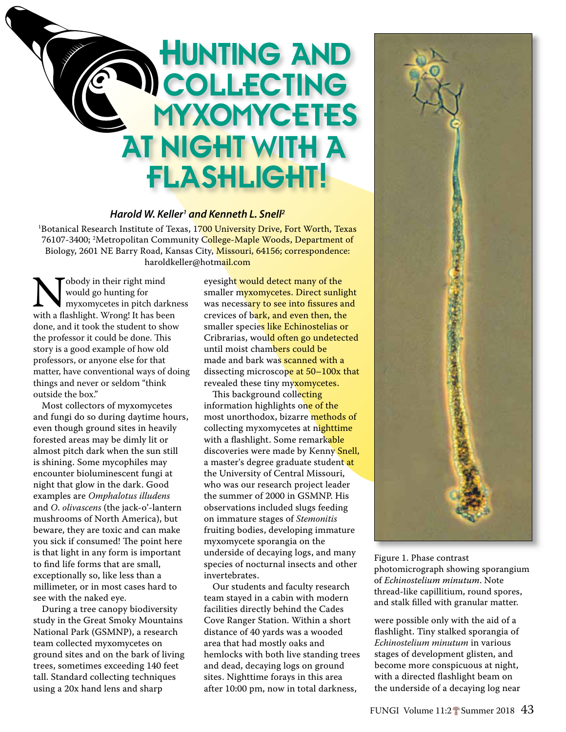## **HUNTING AND COLLECTING MYXOMYCETES AT NIGHT WITH A FLASHLIGHT!**

## *Harold W. Keller1 and Kenneth L. Snell2*

<sup>1</sup>Botanical Research Institute of Texas, 1<mark>700 University Drive, Fort Worth, Texas</mark> 76107-3400; <sup>2</sup>Metropolitan Community C<mark>ollege-Maple Woods, Department of</mark> Biology, 2601 NE Barry Road, Kansas City, Missouri, 64156; correspondence: haroldkeller@hotmail.com

Nobody in their right mind<br>would go hunting for<br>with a flashlight. Wrong! It has been would go hunting for myxomycetes in pitch darkness done, and it took the student to show the professor it could be done. This story is a good example of how old professors, or anyone else for that matter, have conventional ways of doing things and never or seldom "think outside the box."

Most collectors of myxomycetes and fungi do so during daytime hours, even though ground sites in heavily forested areas may be dimly lit or almost pitch dark when the sun still is shining. Some mycophiles may encounter bioluminescent fungi at night that glow in the dark. Good examples are *Omphalotus illudens* and *O*. *olivascens* (the jack-o'-lantern mushrooms of North America), but beware, they are toxic and can make you sick if consumed! The point here is that light in any form is important to find life forms that are small, exceptionally so, like less than a millimeter, or in most cases hard to see with the naked eye.

During a tree canopy biodiversity study in the Great Smoky Mountains National Park (GSMNP), a research team collected myxomycetes on ground sites and on the bark of living trees, sometimes exceeding 140 feet tall. Standard collecting techniques using a 20x hand lens and sharp

eyesight would detect many of the smaller myxomycetes. Direct sunlight was necessary to see into fissures and crevices of bark, and even then, the smaller species like Echinostelias or Cribrarias, would often go undetected until moist chambers could be made and bark was scanned with a dissecting microscope at 50-100x that revealed these tiny myxomycetes.

This background collecting information highlights one of the most unorthodox, bizarre methods of collecting myxomycetes at nighttime with a flashlight. Some remarkable discoveries were made by Kenny Snell, a master's degree graduate student at the University of Central Missouri, who was our research project leader the summer of 2000 in GSMNP. His observations included slugs feeding on immature stages of *Stemonitis* fruiting bodies, developing immature myxomycete sporangia on the underside of decaying logs, and many species of nocturnal insects and other invertebrates.

Our students and faculty research team stayed in a cabin with modern facilities directly behind the Cades Cove Ranger Station. Within a short distance of 40 yards was a wooded area that had mostly oaks and hemlocks with both live standing trees and dead, decaying logs on ground sites. Nighttime forays in this area after 10:00 pm, now in total darkness,



Figure 1. Phase contrast photomicrograph showing sporangium of *Echinostelium minutum*. Note thread-like capillitium, round spores, and stalk filled with granular matter.

were possible only with the aid of a flashlight. Tiny stalked sporangia of *Echinostelium minutum* in various stages of development glisten, and become more conspicuous at night, with a directed flashlight beam on the underside of a decaying log near